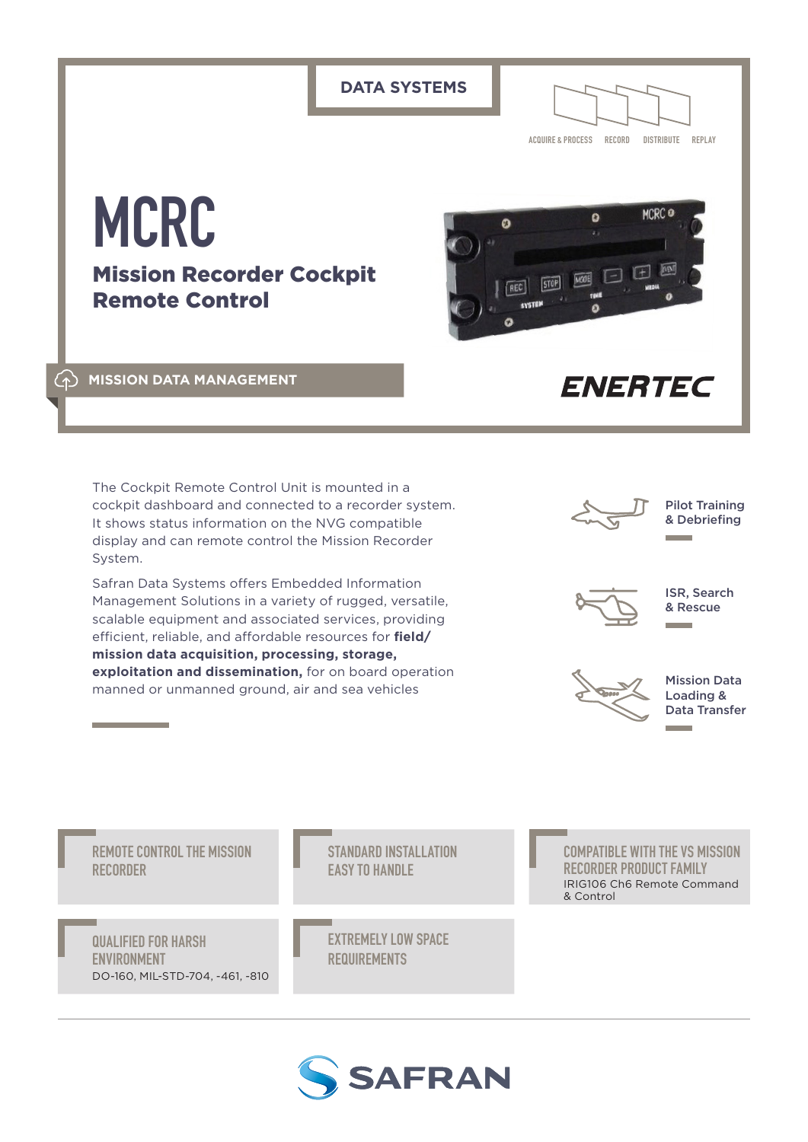**DATA SYSTEMS ACQUIRE & PROCESS RECORD DISTRIBUTE REPLAY MCRC MCRC** a  $\mathfrak{g}$ Mission Recorder Cockpit **STOP** Remote Control **MISSION DATA MANAGEMENT ENERTEC** The Cockpit Remote Control Unit is mounted in a Pilot Training cockpit dashboard and connected to a recorder system. & Debriefing It shows status information on the NVG compatible display and can remote control the Mission Recorder System. Safran Data Systems offers Embedded Information ISR, Search Management Solutions in a variety of rugged, versatile, & Rescue scalable equipment and associated services, providing efficient, reliable, and affordable resources for **field/ mission data acquisition, processing, storage, exploitation and dissemination,** for on board operation

Mission Data Loading & Data Transfer

**REMOTE CONTROL THE MISSION RECORDER**

manned or unmanned ground, air and sea vehicles

**QUALIFIED FOR HARSH ENVIRONMENT** DO-160, MIL-STD-704, -461, -810 **STANDARD INSTALLATION EASY TO HANDLE**

**EXTREMELY LOW SPACE REQUIREMENTS**

**COMPATIBLE WITH THE VS MISSION RECORDER PRODUCT FAMILY** IRIG106 Ch6 Remote Command & Control